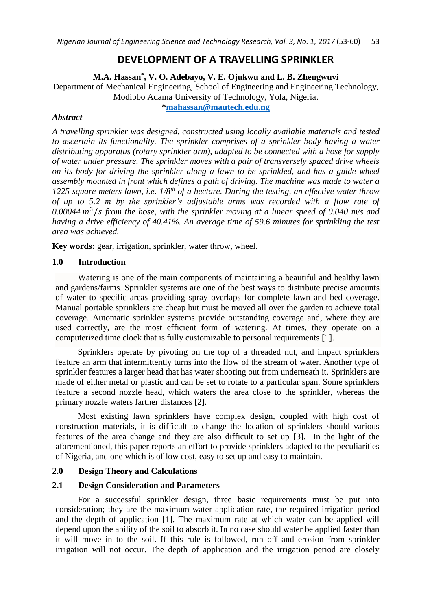# **DEVELOPMENT OF A TRAVELLING SPRINKLER**

# **M.A. Hassan\* , V. O. Adebayo, V. E. Ojukwu and L. B. Zhengwuvi**

Department of Mechanical Engineering, School of Engineering and Engineering Technology, Modibbo Adama University of Technology, Yola, Nigeria.

**[\\*mahassan@mautech.edu.ng](mailto:mahassan@mautech.edu.ng)**

### *Abstract*

*A travelling sprinkler was designed, constructed using locally available materials and tested to ascertain its functionality. The sprinkler comprises of a sprinkler body having a water distributing apparatus (rotary sprinkler arm), adapted to be connected with a hose for supply of water under pressure. The sprinkler moves with a pair of transversely spaced drive wheels on its body for driving the sprinkler along a lawn to be sprinkled, and has a guide wheel assembly mounted in front which defines a path of driving. The machine was made to water a 1225 square meters lawn, i.e. 1/8th of a hectare. During the testing, an effective water throw of up to 5.2 m by the sprinkler's adjustable arms was recorded with a flow rate of*  0.00044 m<sup>3</sup>/s from the hose, with the sprinkler moving at a linear speed of 0.040 m/s and *having a drive efficiency of 40.41%. An average time of 59.6 minutes for sprinkling the test area was achieved.*

**Key words:** gear, irrigation, sprinkler, water throw, wheel.

### **1.0 Introduction**

Watering is one of the main components of maintaining a beautiful and healthy lawn and gardens/farms. Sprinkler systems are one of the best ways to distribute precise amounts of water to specific areas providing spray overlaps for complete lawn and bed coverage. Manual portable sprinklers are cheap but must be moved all over the garden to achieve total coverage. Automatic sprinkler systems provide outstanding coverage and, where they are used correctly, are the most efficient form of watering. At times, they operate on a computerized time clock that is fully customizable to personal requirements [1].

Sprinklers operate by pivoting on the top of a threaded nut, and impact sprinklers feature an arm that intermittently turns into the flow of the stream of water. Another type of sprinkler features a larger head that has water shooting out from underneath it. Sprinklers are made of either metal or plastic and can be set to rotate to a particular span. Some sprinklers feature a second nozzle head, which waters the area close to the sprinkler, whereas the primary nozzle waters farther distances [2].

Most existing lawn sprinklers have complex design, coupled with high cost of construction materials, it is difficult to change the location of sprinklers should various features of the area change and they are also difficult to set up [3]. In the light of the aforementioned, this paper reports an effort to provide sprinklers adapted to the peculiarities of Nigeria, and one which is of low cost, easy to set up and easy to maintain.

### **2.0 Design Theory and Calculations**

### **2.1 Design Consideration and Parameters**

For a successful sprinkler design, three basic requirements must be put into consideration; they are the maximum water application rate, the required irrigation period and the depth of application [1]. The maximum rate at which water can be applied will depend upon the ability of the soil to absorb it. In no case should water be applied faster than it will move in to the soil. If this rule is followed, run off and erosion from sprinkler irrigation will not occur. The depth of application and the irrigation period are closely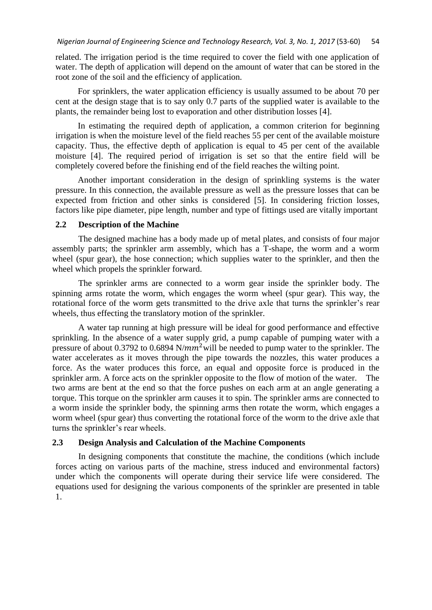related. The irrigation period is the time required to cover the field with one application of water. The depth of application will depend on the amount of water that can be stored in the root zone of the soil and the efficiency of application.

For sprinklers, the water application efficiency is usually assumed to be about 70 per cent at the design stage that is to say only 0.7 parts of the supplied water is available to the plants, the remainder being lost to evaporation and other distribution losses [4].

In estimating the required depth of application, a common criterion for beginning irrigation is when the moisture level of the field reaches 55 per cent of the available moisture capacity. Thus, the effective depth of application is equal to 45 per cent of the available moisture [4]. The required period of irrigation is set so that the entire field will be completely covered before the finishing end of the field reaches the wilting point.

Another important consideration in the design of sprinkling systems is the water pressure. In this connection, the available pressure as well as the pressure losses that can be expected from friction and other sinks is considered [5]. In considering friction losses, factors like pipe diameter, pipe length, number and type of fittings used are vitally important

#### **2.2 Description of the Machine**

The designed machine has a body made up of metal plates, and consists of four major assembly parts; the sprinkler arm assembly, which has a T-shape, the worm and a worm wheel (spur gear), the hose connection; which supplies water to the sprinkler, and then the wheel which propels the sprinkler forward.

The sprinkler arms are connected to a worm gear inside the sprinkler body. The spinning arms rotate the worm, which engages the worm wheel (spur gear). This way, the rotational force of the worm gets transmitted to the drive axle that turns the sprinkler's rear wheels, thus effecting the translatory motion of the sprinkler.

A water tap running at high pressure will be ideal for good performance and effective sprinkling. In the absence of a water supply grid, a pump capable of pumping water with a pressure of about 0.3792 to 0.6894  $N/mm^2$  will be needed to pump water to the sprinkler. The water accelerates as it moves through the pipe towards the nozzles, this water produces a force. As the water produces this force, an equal and opposite force is produced in the sprinkler arm. A force acts on the sprinkler opposite to the flow of motion of the water. The two arms are bent at the end so that the force pushes on each arm at an angle generating a [torque.](http://home.howstuffworks.com/fpte.htm) This torque on the sprinkler arm causes it to spin. The sprinkler arms are connected to a worm inside the sprinkler body, the spinning arms then rotate the [worm,](http://home.howstuffworks.com/gear.htm) which engages a worm wheel (spur gear) thus converting the rotational force of the worm to the drive axle that turns the sprinkler's rear wheels.

### **2.3 Design Analysis and Calculation of the Machine Components**

In designing components that constitute the machine, the conditions (which include forces acting on various parts of the machine, stress induced and environmental factors) under which the components will operate during their service life were considered. The equations used for designing the various components of the sprinkler are presented in table 1.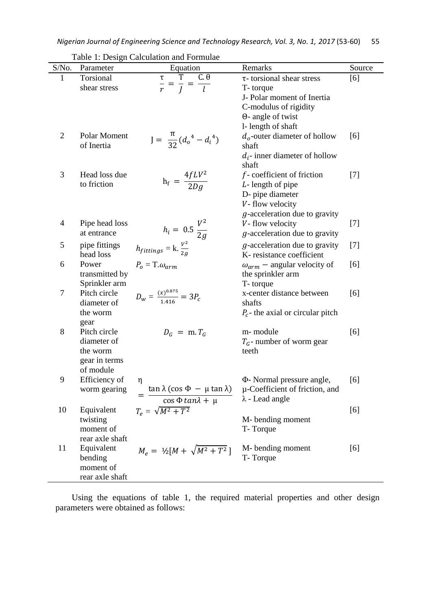| S/No.          | Parameter                  | Tuble 1. Design Calculation and I official<br>Equation               | Remarks                                                      | Source |
|----------------|----------------------------|----------------------------------------------------------------------|--------------------------------------------------------------|--------|
| $\mathbf{1}$   | Torsional                  | T<br>$C.\theta$                                                      | τ-torsional shear stress                                     | [6]    |
|                | shear stress               | $\frac{\overline{\tau}}{r} = \frac{T}{J} = \frac{C \cdot \theta}{l}$ | T-torque                                                     |        |
|                |                            |                                                                      | J- Polar moment of Inertia                                   |        |
|                |                            |                                                                      | C-modulus of rigidity                                        |        |
|                |                            |                                                                      | $\Theta$ - angle of twist                                    |        |
|                |                            |                                                                      | 1- length of shaft                                           |        |
| $\overline{2}$ | Polar Moment<br>of Inertia | $J = \frac{\pi}{32} (d_o^4 - d_i^4)$                                 | $d_o$ -outer diameter of hollow<br>shaft                     | [6]    |
|                |                            |                                                                      | $d_i$ - inner diameter of hollow<br>shaft                    |        |
| 3              | Head loss due              |                                                                      | $f$ -coefficient of friction                                 | $[7]$  |
|                | to friction                | $h_f = \frac{4fLV^2}{2Dg}$                                           | $L$ - length of pipe                                         |        |
|                |                            |                                                                      | D- pipe diameter                                             |        |
|                |                            |                                                                      | V-flow velocity                                              |        |
|                |                            |                                                                      | $g$ -acceleration due to gravity                             |        |
| 4              | Pipe head loss             |                                                                      | V-flow velocity                                              | $[7]$  |
|                | at entrance                | $h_i = 0.5 \frac{V^2}{2g}$                                           | $g$ -acceleration due to gravity                             |        |
| 5              | pipe fittings<br>head loss | $h_{fittings} = k.\frac{V^2}{2a}$                                    | $g$ -acceleration due to gravity<br>K-resistance coefficient | $[7]$  |
| 6              | Power                      | $P_{o} = T \omega_{arm}$                                             | $\omega_{arm}$ – angular velocity of                         | [6]    |
|                | transmitted by             |                                                                      | the sprinkler arm                                            |        |
|                | Sprinkler arm              |                                                                      | T-torque                                                     |        |
| 7              | Pitch circle               | $D_w = \frac{(x)^{0.875}}{1.416} = 3P_c$                             | x-center distance between                                    | [6]    |
|                | diameter of                |                                                                      | shafts                                                       |        |
|                | the worm                   |                                                                      | $P_c$ - the axial or circular pitch                          |        |
|                | gear                       |                                                                      |                                                              |        |
| 8              | Pitch circle               | $D_G = m.T_G$                                                        | m-module                                                     | [6]    |
|                | diameter of                |                                                                      | $T_G$ - number of worm gear                                  |        |
|                | the worm                   |                                                                      | teeth                                                        |        |
|                | gear in terms<br>of module |                                                                      |                                                              |        |
| 9              | Efficiency of              |                                                                      | $\Phi$ - Normal pressure angle,                              | [6]    |
|                | worm gearing               | η<br>$\tan \lambda (\cos \Phi - \mu \tan \lambda)$                   | µ-Coefficient of friction, and                               |        |
|                |                            | $\cos \Phi \tan \lambda + \mu$                                       | $\lambda$ - Lead angle                                       |        |
| 10             |                            |                                                                      |                                                              |        |
|                | Equivalent<br>twisting     | $T_e = \sqrt{M^2 + T^2}$                                             | M-bending moment                                             | [6]    |
|                | moment of                  |                                                                      | T-Torque                                                     |        |
|                | rear axle shaft            |                                                                      |                                                              |        |
| 11             | Equivalent                 |                                                                      | M-bending moment                                             | [6]    |
|                | bending                    | $M_e = \frac{1}{2}[M + \sqrt{M^2 + T^2}]$                            | T-Torque                                                     |        |
|                | moment of                  |                                                                      |                                                              |        |
|                | rear axle shaft            |                                                                      |                                                              |        |

Table 1: Design Calculation and Formulae

Using the equations of table 1, the required material properties and other design parameters were obtained as follows: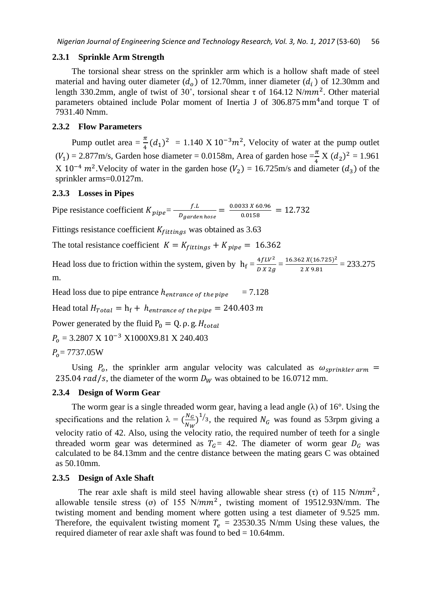#### **2.3.1 Sprinkle Arm Strength**

The torsional shear stress on the sprinkler arm which is a hollow shaft made of steel material and having outer diameter  $(d_o)$  of 12.70mm, inner diameter  $(d_i)$  of 12.30mm and length 330.2mm, angle of twist of 30°, torsional shear  $\tau$  of 164.12 N/mm<sup>2</sup>. Other material parameters obtained include Polar moment of Inertia J of 306.875 mm<sup>4</sup> and torque T of 7931.40 Nmm.

#### **2.3.2 Flow Parameters**

Pump outlet area =  $\frac{\pi}{4}$  $(d_1)^2$  = 1.140 X 10<sup>-3</sup> $m^2$ , Velocity of water at the pump outlet  $(V_1) = 2.877$ m/s, Garden hose diameter = 0.0158m, Area of garden hose  $=\frac{\pi}{4} X (d_2)^2 = 1.961$  $X 10^{-4}$   $m^2$ . Velocity of water in the garden hose ( $V_2$ ) = 16.725m/s and diameter ( $d_3$ ) of the sprinkler arms=0.0127m.

#### **2.3.3 Losses in Pipes**

Pipe resistance coefficient  $K_{pipe} = \frac{f.L}{R}$  $\frac{f.L}{D_{garden\,hose}} = \frac{0.0033\,X\,60.96}{0.0158}$  $\frac{0.0158}{0.0158} = 12.732$ 

Fittings resistance coefficient  $K_{fittings}$  was obtained as 3.63

The total resistance coefficient  $K = K_{fittings} + K_{pipe} = 16.362$ 

Head loss due to friction within the system, given by  $h_f = \frac{4fLV^2}{RX^2}$  $\frac{4fLV^2}{D X 2g} = \frac{16.362 X(16.725)^2}{2 X 9.81}$  $\frac{22 \lambda (10.725)}{2 \lambda 9.81} = 233.275$ m.

Head loss due to pipe entrance  $h_{entrance\ of\ the\ pipe}$  = 7.128

Head total  $H_{Total} = h_f + h_{entrance of the pipe} = 240.403 m$ 

Power generated by the fluid  $P_0 = Q$ .  $\rho$ . g.  $H_{total}$ 

 $P_0$  = 3.2807 X 10<sup>-3</sup> X1000X9.81 X 240.403

$$
P_o = 7737.05W
$$

Using  $P_0$ , the sprinkler arm angular velocity was calculated as  $\omega_{sprinkler\ arm}$  = 235.04  $rad/s$ , the diameter of the worm  $D_W$  was obtained to be 16.0712 mm.

### **2.3.4 Design of Worm Gear**

The worm gear is a single threaded worm gear, having a lead angle  $(\lambda)$  of 16°. Using the specifications and the relation  $\lambda = \left(\frac{N_G}{N}\right)$  $\frac{N_G}{N_W}$ )<sup>1</sup>/<sub>3</sub>, the required  $N_G$  was found as 53rpm giving a velocity ratio of 42. Also, using the velocity ratio, the required number of teeth for a single threaded worm gear was determined as  $T<sub>G</sub> = 42$ . The diameter of worm gear  $D<sub>G</sub>$  was calculated to be 84.13mm and the centre distance between the mating gears C was obtained as 50.10mm.

#### **2.3.5 Design of Axle Shaft**

The rear axle shaft is mild steel having allowable shear stress (τ) of 115 N/mm<sup>2</sup>, allowable tensile stress (o) of 155  $N/mm^2$ , twisting moment of 19512.93N/mm. The twisting moment and bending moment where gotten using a test diameter of 9.525 mm. Therefore, the equivalent twisting moment  $T_e = 23530.35$  N/mm Using these values, the required diameter of rear axle shaft was found to bed = 10.64mm.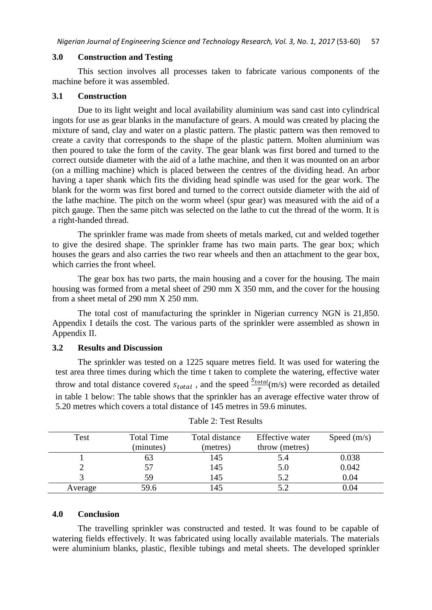#### **3.0 Construction and Testing**

This section involves all processes taken to fabricate various components of the machine before it was assembled.

#### **3.1 Construction**

Due to its light weight and local availability aluminium was sand cast into cylindrical ingots for use as gear blanks in the manufacture of gears. A mould was created by placing the mixture of sand, clay and water on a plastic pattern. The plastic pattern was then removed to create a cavity that corresponds to the shape of the plastic pattern. Molten aluminium was then poured to take the form of the cavity. The gear blank was first bored and turned to the correct outside diameter with the aid of a lathe machine, and then it was mounted on an arbor (on a milling machine) which is placed between the centres of the dividing head. An arbor having a taper shank which fits the dividing head spindle was used for the gear work. The blank for the worm was first bored and turned to the correct outside diameter with the aid of the lathe machine. The pitch on the worm wheel (spur gear) was measured with the aid of a pitch gauge. Then the same pitch was selected on the lathe to cut the thread of the worm. It is a right-handed thread.

The sprinkler frame was made from sheets of metals marked, cut and welded together to give the desired shape. The sprinkler frame has two main parts. The gear box; which houses the gears and also carries the two rear wheels and then an attachment to the gear box, which carries the front wheel.

The gear box has two parts, the main housing and a cover for the housing. The main housing was formed from a metal sheet of 290 mm X 350 mm, and the cover for the housing from a sheet metal of 290 mm X 250 mm.

The total cost of manufacturing the sprinkler in Nigerian currency NGN is 21,850. Appendix I details the cost. The various parts of the sprinkler were assembled as shown in Appendix II.

### **3.2 Results and Discussion**

The sprinkler was tested on a 1225 square metres field. It was used for watering the test area three times during which the time t taken to complete the watering, effective water throw and total distance covered  $s_{total}$ , and the speed  $\frac{S_{total}}{T}$ (m/s) were recorded as detailed in table 1 below: The table shows that the sprinkler has an average effective water throw of 5.20 metres which covers a total distance of 145 metres in 59.6 minutes.

| Test    | <b>Total Time</b> | Total distance | Effective water | Speed $(m/s)$ |
|---------|-------------------|----------------|-----------------|---------------|
|         | (minutes)         | (metres)       | throw (metres)  |               |
|         | ნე                | 145            | 5.4             | 0.038         |
|         | 57                | 145            | 5.0             | 0.042         |
|         | 59                | 145            | 5.2             | 0.04          |
| Average | 59.6              |                |                 | 0.04          |

### **4.0 Conclusion**

The travelling sprinkler was constructed and tested. It was found to be capable of watering fields effectively. It was fabricated using locally available materials. The materials were aluminium blanks, plastic, flexible tubings and metal sheets. The developed sprinkler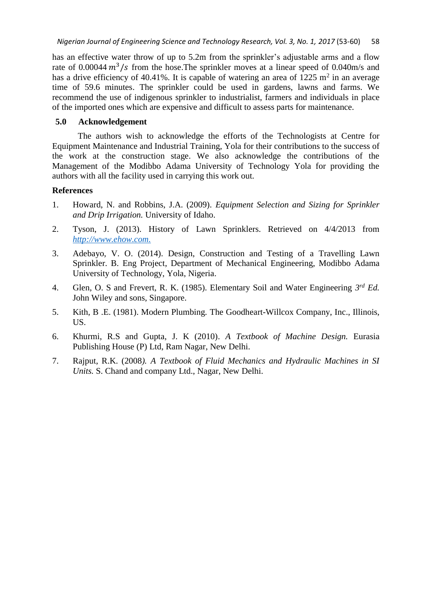has an effective water throw of up to 5.2m from the sprinkler's adjustable arms and a flow rate of 0.00044 $m^3$ /s from the hose. The sprinkler moves at a linear speed of 0.040m/s and has a drive efficiency of 40.41%. It is capable of watering an area of  $1225 \text{ m}^2$  in an average time of 59.6 minutes. The sprinkler could be used in gardens, lawns and farms. We recommend the use of indigenous sprinkler to industrialist, farmers and individuals in place of the imported ones which are expensive and difficult to assess parts for maintenance.

## **5.0 Acknowledgement**

The authors wish to acknowledge the efforts of the Technologists at Centre for Equipment Maintenance and Industrial Training, Yola for their contributions to the success of the work at the construction stage. We also acknowledge the contributions of the Management of the Modibbo Adama University of Technology Yola for providing the authors with all the facility used in carrying this work out.

# **References**

- 1. Howard, N. and Robbins, J.A. (2009). *Equipment Selection and Sizing for Sprinkler and Drip Irrigation.* University of Idaho.
- 2. Tyson, J. (2013). History of Lawn Sprinklers. Retrieved on 4/4/2013 from *[http://www.ehow.com.](http://www.ehow.com/about_5164671_history-lawn-sprinkler.html)*
- 3. Adebayo, V. O. (2014). Design, Construction and Testing of a Travelling Lawn Sprinkler. B. Eng Project, Department of Mechanical Engineering, Modibbo Adama University of Technology, Yola, Nigeria.
- 4. Glen, O. S and Frevert, R. K. (1985). Elementary Soil and Water Engineering *3 rd Ed.* John Wiley and sons, Singapore.
- 5. Kith, B .E. (1981). Modern Plumbing*.* The Goodheart-Willcox Company, Inc., Illinois, US.
- 6. Khurmi, R.S and Gupta, J. K (2010). *A Textbook of Machine Design.* Eurasia Publishing House (P) Ltd, Ram Nagar, New Delhi.
- 7. Rajput, R.K. (2008*). A Textbook of Fluid Mechanics and Hydraulic Machines in SI Units.* S. Chand and company Ltd., Nagar, New Delhi.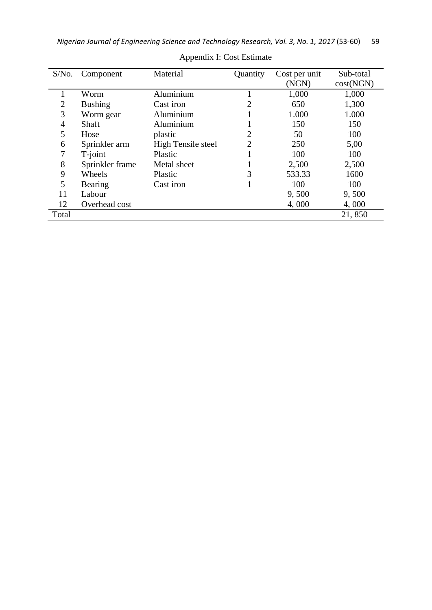| S/No.          | Component       | Material           | Quantity       | Cost per unit<br>(NGN) | Sub-total<br>cost(NGN) |
|----------------|-----------------|--------------------|----------------|------------------------|------------------------|
|                | Worm            | Aluminium          |                | 1,000                  | 1,000                  |
| $\overline{2}$ | <b>Bushing</b>  | Cast iron          |                | 650                    | 1,300                  |
| 3              | Worm gear       | Aluminium          |                | 1.000                  | 1.000                  |
| 4              | Shaft           | Aluminium          |                | 150                    | 150                    |
| 5              | Hose            | plastic            | $\overline{2}$ | 50                     | 100                    |
| 6              | Sprinkler arm   | High Tensile steel | 2              | 250                    | 5,00                   |
| 7              | T-joint         | Plastic            |                | 100                    | 100                    |
| 8              | Sprinkler frame | Metal sheet        |                | 2,500                  | 2,500                  |
| 9              | Wheels          | Plastic            | 3              | 533.33                 | 1600                   |
| 5              | Bearing         | Cast iron          |                | 100                    | 100                    |
| 11             | Labour          |                    |                | 9,500                  | 9,500                  |
| 12             | Overhead cost   |                    |                | 4,000                  | 4,000                  |
| Total          |                 |                    |                |                        | 21,850                 |

Appendix I: Cost Estimate